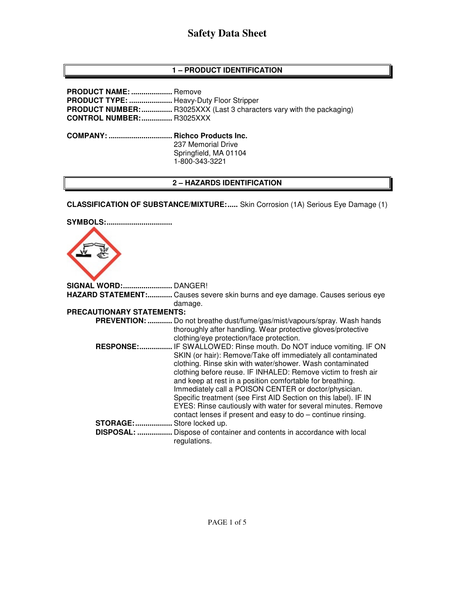# **1 – PRODUCT IDENTIFICATION**

**PRODUCT NAME: ....................** Remove **PRODUCT TYPE: .....................** Heavy-Duty Floor Stripper **PRODUCT NUMBER: ................** R3025XXX (Last 3 characters vary with the packaging) **CONTROL NUMBER: ...............** R3025XXX **COMPANY: ............................... Richco Products Inc.**  237 Memorial Drive Springfield, MA 01104 1-800-343-3221

## **2 – HAZARDS IDENTIFICATION**

**CLASSIFICATION OF SUBSTANCE/MIXTURE:.....** Skin Corrosion (1A) Serious Eye Damage (1)

| <b>SYMBOLS:</b>           |                                                                                                                    |
|---------------------------|--------------------------------------------------------------------------------------------------------------------|
|                           |                                                                                                                    |
| SIGNAL WORD: DANGER!      |                                                                                                                    |
|                           | HAZARD STATEMENT: Causes severe skin burns and eye damage. Causes serious eye                                      |
|                           | damage.                                                                                                            |
| PRECAUTIONARY STATEMENTS: |                                                                                                                    |
|                           | PREVENTION:  Do not breathe dust/fume/gas/mist/vapours/spray. Wash hands                                           |
|                           | thoroughly after handling. Wear protective gloves/protective                                                       |
|                           | clothing/eye protection/face protection.                                                                           |
| <b>RESPONSE:</b>          | IF SWALLOWED: Rinse mouth. Do NOT induce vomiting. IF ON                                                           |
|                           | SKIN (or hair): Remove/Take off immediately all contaminated                                                       |
|                           | clothing. Rinse skin with water/shower. Wash contaminated                                                          |
|                           | clothing before reuse. IF INHALED: Remove victim to fresh air                                                      |
|                           | and keep at rest in a position comfortable for breathing.<br>Immediately call a POISON CENTER or doctor/physician. |
|                           | Specific treatment (see First AID Section on this label). IF IN                                                    |
|                           | EYES: Rinse cautiously with water for several minutes. Remove                                                      |
|                           | contact lenses if present and easy to do - continue rinsing.                                                       |
| <b>STORAGE:</b>           | Store locked up.                                                                                                   |
| <b>DISPOSAL: </b>         | Dispose of container and contents in accordance with local                                                         |
|                           | regulations.                                                                                                       |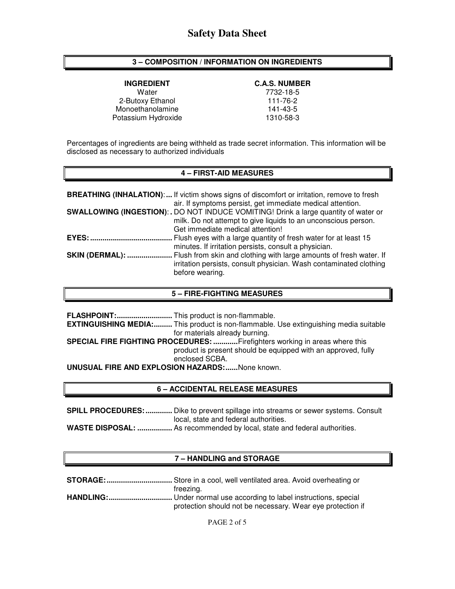# **3 – COMPOSITION / INFORMATION ON INGREDIENTS**

Water 7732-18-5<br>
111-76-2 111-76-2 2-Butoxy Ethanol 111-76-2<br>Monoethanolamine 141-43-5 Monoethanolamine Potassium Hydroxide 1310-58-3

# **INGREDIENT C.A.S. NUMBER**

Percentages of ingredients are being withheld as trade secret information. This information will be disclosed as necessary to authorized individuals

### **4 – FIRST-AID MEASURES**

|                        | <b>BREATHING (INHALATION):</b> If victim shows signs of discomfort or irritation, remove to fresh<br>air. If symptoms persist, get immediate medical attention.                            |
|------------------------|--------------------------------------------------------------------------------------------------------------------------------------------------------------------------------------------|
|                        | SWALLOWING (INGESTION): . DO NOT INDUCE VOMITING! Drink a large quantity of water or<br>milk. Do not attempt to give liquids to an unconscious person.<br>Get immediate medical attention! |
| $EYES:$                | Flush eyes with a large quantity of fresh water for at least 15<br>minutes. If irritation persists, consult a physician.                                                                   |
| <b>SKIN (DERMAL): </b> | Flush from skin and clothing with large amounts of fresh water. If<br>irritation persists, consult physician. Wash contaminated clothing<br>before wearing.                                |

### **5 – FIRE-FIGHTING MEASURES**

|                                                                            | <b>EXTINGUISHING MEDIA:</b> This product is non-flammable. Use extinguishing media suitable |  |  |
|----------------------------------------------------------------------------|---------------------------------------------------------------------------------------------|--|--|
|                                                                            | for materials already burning.                                                              |  |  |
| SPECIAL FIRE FIGHTING PROCEDURES: Firefighters working in areas where this |                                                                                             |  |  |
|                                                                            | product is present should be equipped with an approved, fully                               |  |  |
|                                                                            | enclosed SCBA.                                                                              |  |  |
| <b>UNUSUAL FIRE AND EXPLOSION HAZARDS:</b> None known.                     |                                                                                             |  |  |

## **6 – ACCIDENTAL RELEASE MEASURES**

**SPILL PROCEDURES: .............** Dike to prevent spillage into streams or sewer systems. Consult local, state and federal authorities.

**WASTE DISPOSAL: .................** As recommended by local, state and federal authorities.

# **7 – HANDLING and STORAGE**

| freezing.                                                  |
|------------------------------------------------------------|
|                                                            |
| protection should not be necessary. Wear eye protection if |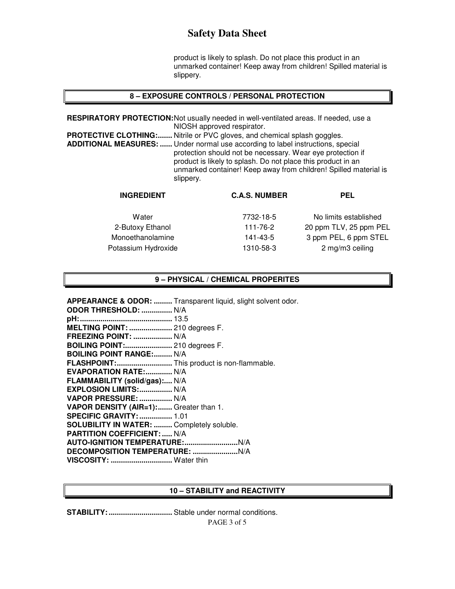product is likely to splash. Do not place this product in an unmarked container! Keep away from children! Spilled material is slippery.

#### **8 – EXPOSURE CONTROLS / PERSONAL PROTECTION**

**RESPIRATORY PROTECTION:** Not usually needed in well-ventilated areas. If needed, use a NIOSH approved respirator. **PROTECTIVE CLOTHING:.......** Nitrile or PVC gloves, and chemical splash goggles. **ADDITIONAL MEASURES: ......** Under normal use according to label instructions, special protection should not be necessary. Wear eye protection if product is likely to splash. Do not place this product in an unmarked container! Keep away from children! Spilled material is slippery.

| <b>INGREDIENT</b>   | <b>C.A.S. NUMBER</b> | <b>PEL</b>             |
|---------------------|----------------------|------------------------|
| Water               | 7732-18-5            | No limits established  |
| 2-Butoxy Ethanol    | 111-76-2             | 20 ppm TLV, 25 ppm PEL |
| Monoethanolamine    | 141-43-5             | 3 ppm PEL, 6 ppm STEL  |
| Potassium Hydroxide | 1310-58-3            | 2 mg/m3 ceiling        |
|                     |                      |                        |

#### **9 – PHYSICAL / CHEMICAL PROPERITES**

**APPEARANCE & ODOR: .........** Transparent liquid, slight solvent odor. **ODOR THRESHOLD: ...............** N/A **pH: .............................................** 13.5 **MELTING POINT: .....................** 210 degrees F. **FREEZING POINT: ...................** N/A **BOILING POINT:.......................** 210 degrees F. **BOILING POINT RANGE:......... N/A FLASHPOINT: ...........................** This product is non-flammable. **EVAPORATION RATE:.............. N/A FLAMMABILITY (solid/gas):....** N/A **EXPLOSION LIMITS: ................** N/A **VAPOR PRESSURE: ................** N/A **VAPOR DENSITY (AIR=1): .......** Greater than 1. **SPECIFIC GRAVITY: ................** 1.01 **SOLUBILITY IN WATER: .........** Completely soluble. **PARTITION COEFFICIENT: .....** N/A **AUTO-IGNITION TEMPERATURE: ..........................** N/A **DECOMPOSITION TEMPERATURE: ......................** N/A **VISCOSITY: ..............................** Water thin

#### **10 – STABILITY and REACTIVITY**

**STABILITY: ...............................** Stable under normal conditions.

PAGE 3 of 5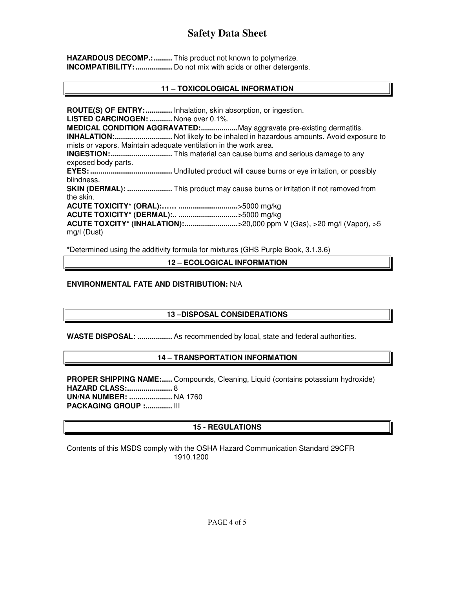**HAZARDOUS DECOMP.: .........** This product not known to polymerize. **INCOMPATIBILITY: ..................** Do not mix with acids or other detergents.

# **11 – TOXICOLOGICAL INFORMATION**

**ROUTE(S) OF ENTRY: .............** Inhalation, skin absorption, or ingestion. **LISTED CARCINOGEN: ...........** None over 0.1%. **MEDICAL CONDITION AGGRAVATED: ..................** May aggravate pre-existing dermatitis. **INHALATION: ............................** Not likely to be inhaled in hazardous amounts. Avoid exposure to mists or vapors. Maintain adequate ventilation in the work area. **INGESTION: ..............................** This material can cause burns and serious damage to any exposed body parts. **EYES: ........................................** Undiluted product will cause burns or eye irritation, or possibly blindness. **SKIN (DERMAL): ......................** This product may cause burns or irritation if not removed from the skin. **ACUTE TOXICITY\* (ORAL):…… .............................** >5000 mg/kg **ACUTE TOXICITY\* (DERMAL):.. .............................** >5000 mg/kg **ACUTE TOXCITY\* (INHALATION): ..........................** >20,000 ppm V (Gas), >20 mg/l (Vapor), >5 mg/l (Dust)

**\***Determined using the additivity formula for mixtures (GHS Purple Book, 3.1.3.6)

**12 – ECOLOGICAL INFORMATION** 

## **ENVIRONMENTAL FATE AND DISTRIBUTION:** N/A

# **13 –DISPOSAL CONSIDERATIONS**

**WASTE DISPOSAL: .................** As recommended by local, state and federal authorities.

# **14 – TRANSPORTATION INFORMATION**

**PROPER SHIPPING NAME:.....** Compounds, Cleaning, Liquid (contains potassium hydroxide) **HAZARD CLASS: ......................** 8 **UN/NA NUMBER: .....................** NA 1760 **PACKAGING GROUP :.............. III** 

# **15 - REGULATIONS**

Contents of this MSDS comply with the OSHA Hazard Communication Standard 29CFR 1910.1200